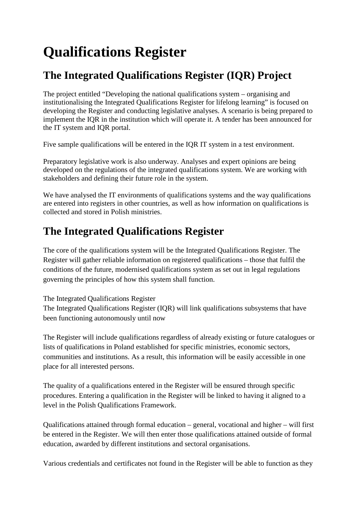## **Qualifications Register**

## **The Integrated Qualifications Register (IQR) Project**

The project entitled "Developing the national qualifications system – organising and institutionalising the Integrated Qualifications Register for lifelong learning" is focused on developing the Register and conducting legislative analyses. A scenario is being prepared to implement the IQR in the institution which will operate it. A tender has been announced for the IT system and IQR portal.

Five sample qualifications will be entered in the IQR IT system in a test environment.

Preparatory legislative work is also underway. Analyses and expert opinions are being developed on the regulations of the integrated qualifications system. We are working with stakeholders and defining their future role in the system.

We have analysed the IT environments of qualifications systems and the way qualifications are entered into registers in other countries, as well as how information on qualifications is collected and stored in Polish ministries.

## **The Integrated Qualifications Register**

The core of the qualifications system will be the Integrated Qualifications Register. The Register will gather reliable information on registered qualifications – those that fulfil the conditions of the future, modernised qualifications system as set out in legal regulations governing the principles of how this system shall function.

The Integrated Qualifications Register

The Integrated Qualifications Register (IQR) will link qualifications subsystems that have been functioning autonomously until now

The Register will include qualifications regardless of already existing or future catalogues or lists of qualifications in Poland established for specific ministries, economic sectors, communities and institutions. As a result, this information will be easily accessible in one place for all interested persons.

The quality of a qualifications entered in the Register will be ensured through specific procedures. Entering a qualification in the Register will be linked to having it aligned to a level in the Polish Qualifications Framework.

Qualifications attained through formal education – general, vocational and higher – will first be entered in the Register. We will then enter those qualifications attained outside of formal education, awarded by different institutions and sectoral organisations.

Various credentials and certificates not found in the Register will be able to function as they